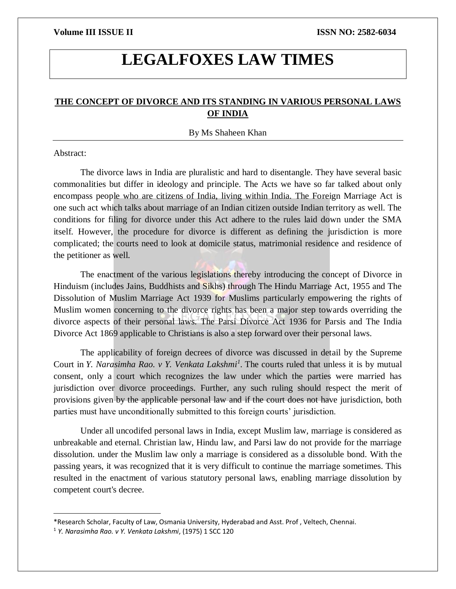# **LEGALFOXES LAW TIMES**

# **THE CONCEPT OF DIVORCE AND ITS STANDING IN VARIOUS PERSONAL LAWS OF INDIA**

### By Ms Shaheen Khan

### Abstract:

 $\overline{\phantom{a}}$ 

The divorce laws in India are pluralistic and hard to disentangle. They have several basic commonalities but differ in ideology and principle. The Acts we have so far talked about only encompass people who are citizens of India, living within India. The Foreign Marriage Act is one such act which talks about marriage of an Indian citizen outside Indian territory as well. The conditions for filing for divorce under this Act adhere to the rules laid down under the SMA itself. However, the procedure for divorce is different as defining the jurisdiction is more complicated; the courts need to look at domicile status, matrimonial residence and residence of the petitioner as well.

The enactment of the various legislations thereby introducing the concept of Divorce in Hinduism (includes Jains, Buddhists and Sikhs) through The Hindu Marriage Act, 1955 and The Dissolution of Muslim Marriage Act 1939 for Muslims particularly empowering the rights of Muslim women concerning to the divorce rights has been a major step towards overriding the divorce aspects of their personal laws. The Parsi Divorce Act 1936 for Parsis and The India Divorce Act 1869 applicable to Christians is also a step forward over their personal laws.

The applicability of foreign decrees of divorce was discussed in detail by the Supreme Court in *Y. Narasimha Rao. v Y. Venkata Lakshmi<sup>1</sup> .* The courts ruled that unless it is by mutual consent, only a court which recognizes the law under which the parties were married has jurisdiction over divorce proceedings. Further, any such ruling should respect the merit of provisions given by the applicable personal law and if the court does not have jurisdiction, both parties must have unconditionally submitted to this foreign courts' jurisdiction.

Under all uncodifed personal laws in India, except Muslim law, marriage is considered as unbreakable and eternal. Christian law, Hindu law, and Parsi law do not provide for the marriage dissolution. under the Muslim law only a marriage is considered as a dissoluble bond. With the passing years, it was recognized that it is very difficult to continue the marriage sometimes. This resulted in the enactment of various statutory personal laws, enabling marriage dissolution by competent court's decree.

<sup>\*</sup>Research Scholar, Faculty of Law, Osmania University, Hyderabad and Asst. Prof , Veltech, Chennai.

<sup>1</sup> *Y. Narasimha Rao. v Y. Venkata Lakshmi*, (1975) 1 SCC 120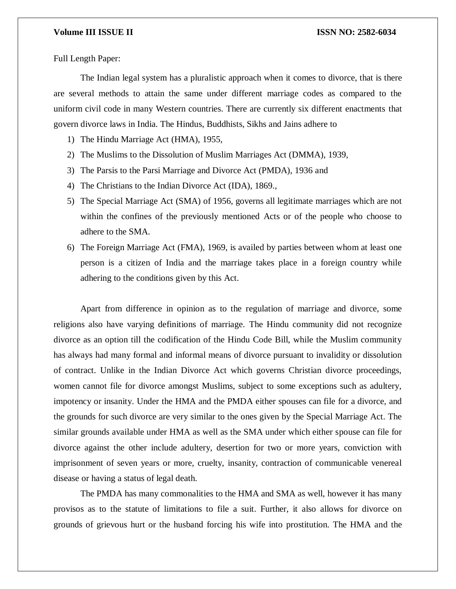Full Length Paper:

The Indian legal system has a pluralistic approach when it comes to divorce, that is there are several methods to attain the same under different marriage codes as compared to the uniform civil code in many Western countries. There are currently six different enactments that govern divorce laws in India. The Hindus, Buddhists, Sikhs and Jains adhere to

- 1) The Hindu Marriage Act (HMA), 1955,
- 2) The Muslims to the Dissolution of Muslim Marriages Act (DMMA), 1939,
- 3) The Parsis to the Parsi Marriage and Divorce Act (PMDA), 1936 and
- 4) The Christians to the Indian Divorce Act (IDA), 1869.,
- 5) The Special Marriage Act (SMA) of 1956, governs all legitimate marriages which are not within the confines of the previously mentioned Acts or of the people who choose to adhere to the SMA.
- 6) The Foreign Marriage Act (FMA), 1969, is availed by parties between whom at least one person is a citizen of India and the marriage takes place in a foreign country while adhering to the conditions given by this Act.

Apart from difference in opinion as to the regulation of marriage and divorce, some religions also have varying definitions of marriage. The Hindu community did not recognize divorce as an option till the codification of the Hindu Code Bill, while the Muslim community has always had many formal and informal means of divorce pursuant to invalidity or dissolution of contract. Unlike in the Indian Divorce Act which governs Christian divorce proceedings, women cannot file for divorce amongst Muslims, subject to some exceptions such as adultery, impotency or insanity. Under the HMA and the PMDA either spouses can file for a divorce, and the grounds for such divorce are very similar to the ones given by the Special Marriage Act. The similar grounds available under HMA as well as the SMA under which either spouse can file for divorce against the other include adultery, desertion for two or more years, conviction with imprisonment of seven years or more, cruelty, insanity, contraction of communicable venereal disease or having a status of legal death.

The PMDA has many commonalities to the HMA and SMA as well, however it has many provisos as to the statute of limitations to file a suit. Further, it also allows for divorce on grounds of grievous hurt or the husband forcing his wife into prostitution. The HMA and the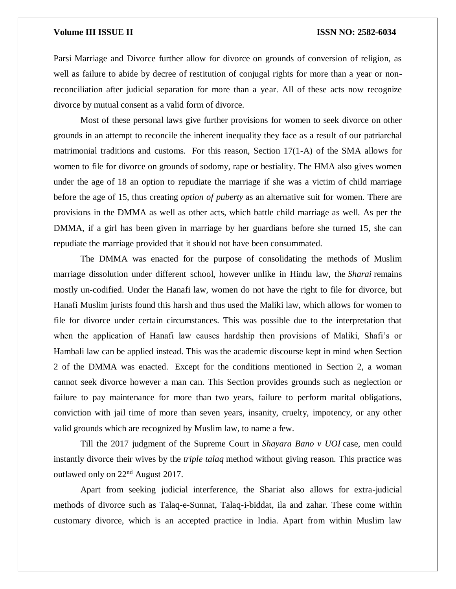Parsi Marriage and Divorce further allow for divorce on grounds of conversion of religion, as well as failure to abide by decree of restitution of conjugal rights for more than a year or nonreconciliation after judicial separation for more than a year. All of these acts now recognize divorce by mutual consent as a valid form of divorce.

Most of these personal laws give further provisions for women to seek divorce on other grounds in an attempt to reconcile the inherent inequality they face as a result of our patriarchal matrimonial traditions and customs. For this reason, Section 17(1-A) of the SMA allows for women to file for divorce on grounds of sodomy, rape or bestiality. The HMA also gives women under the age of 18 an option to repudiate the marriage if she was a victim of child marriage before the age of 15, thus creating *option of puberty* as an alternative suit for women. There are provisions in the DMMA as well as other acts, which battle child marriage as well. As per the DMMA, if a girl has been given in marriage by her guardians before she turned 15, she can repudiate the marriage provided that it should not have been consummated.

The DMMA was enacted for the purpose of consolidating the methods of Muslim marriage dissolution under different school, however unlike in Hindu law, the *Sharai* remains mostly un-codified. Under the Hanafi law, women do not have the right to file for divorce, but Hanafi Muslim jurists found this harsh and thus used the Maliki law, which allows for women to file for divorce under certain circumstances. This was possible due to the interpretation that when the application of Hanafi law causes hardship then provisions of Maliki, Shafi's or Hambali law can be applied instead. This was the academic discourse kept in mind when Section 2 of the DMMA was enacted. Except for the conditions mentioned in Section 2, a woman cannot seek divorce however a man can. This Section provides grounds such as neglection or failure to pay maintenance for more than two years, failure to perform marital obligations, conviction with jail time of more than seven years, insanity, cruelty, impotency, or any other valid grounds which are recognized by Muslim law, to name a few.

Till the 2017 judgment of the Supreme Court in *Shayara Bano v UOI* case, men could instantly divorce their wives by the *triple talaq* method without giving reason. This practice was outlawed only on 22nd August 2017.

Apart from seeking judicial interference, the Shariat also allows for extra-judicial methods of divorce such as Talaq-e-Sunnat, Talaq-i-biddat, ila and zahar. These come within customary divorce, which is an accepted practice in India. Apart from within Muslim law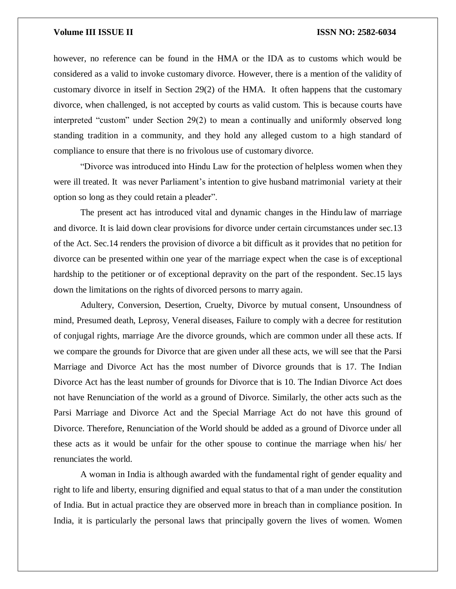however, no reference can be found in the HMA or the IDA as to customs which would be considered as a valid to invoke customary divorce. However, there is a mention of the validity of customary divorce in itself in Section 29(2) of the HMA. It often happens that the customary divorce, when challenged, is not accepted by courts as valid custom. This is because courts have interpreted "custom" under Section 29(2) to mean a continually and uniformly observed long standing tradition in a community, and they hold any alleged custom to a high standard of compliance to ensure that there is no frivolous use of customary divorce.

"Divorce was introduced into Hindu Law for the protection of helpless women when they were ill treated. It was never Parliament's intention to give husband matrimonial variety at their option so long as they could retain a pleader".

The present act has introduced vital and dynamic changes in the Hindu law of marriage and divorce. It is laid down clear provisions for divorce under certain circumstances under sec.13 of the Act. Sec.14 renders the provision of divorce a bit difficult as it provides that no petition for divorce can be presented within one year of the marriage expect when the case is of exceptional hardship to the petitioner or of exceptional depravity on the part of the respondent. Sec.15 lays down the limitations on the rights of divorced persons to marry again.

Adultery, Conversion, Desertion, Cruelty, Divorce by mutual consent, Unsoundness of mind, Presumed death, Leprosy, Veneral diseases, Failure to comply with a decree for restitution of conjugal rights, marriage Are the divorce grounds, which are common under all these acts. If we compare the grounds for Divorce that are given under all these acts, we will see that the Parsi Marriage and Divorce Act has the most number of Divorce grounds that is 17. The Indian Divorce Act has the least number of grounds for Divorce that is 10. The Indian Divorce Act does not have Renunciation of the world as a ground of Divorce. Similarly, the other acts such as the Parsi Marriage and Divorce Act and the Special Marriage Act do not have this ground of Divorce. Therefore, Renunciation of the World should be added as a ground of Divorce under all these acts as it would be unfair for the other spouse to continue the marriage when his/ her renunciates the world.

A woman in India is although awarded with the fundamental right of gender equality and right to life and liberty, ensuring dignified and equal status to that of a man under the constitution of India. But in actual practice they are observed more in breach than in compliance position. In India, it is particularly the personal laws that principally govern the lives of women. Women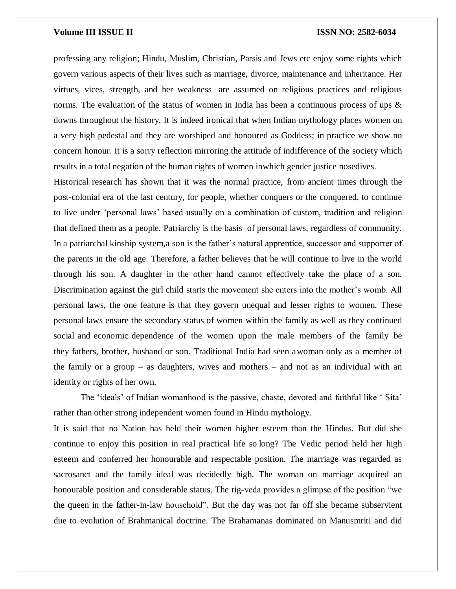professing any religion; Hindu, Muslim, Christian, Parsis and Jews etc enjoy some rights which govern various aspects of their lives such as marriage, divorce, maintenance and inheritance. Her virtues, vices, strength, and her weakness are assumed on religious practices and religious norms. The evaluation of the status of women in India has been a continuous process of ups & downs throughout the history. It is indeed ironical that when Indian mythology places women on a very high pedestal and they are worshiped and honoured as Goddess; in practice we show no concern honour. It is a sorry reflection mirroring the attitude of indifference of the society which results in a total negation of the human rights of women inwhich gender justice nosedives.

Historical research has shown that it was the normal practice, from ancient times through the post-colonial era of the last century, for people, whether conquers or the conquered, to continue to live under 'personal laws' based usually on a combination of custom, tradition and religion that defined them as a people. Patriarchy is the basis of personal laws, regardless of community. In a patriarchal kinship system,a son is the father's natural apprentice, successor and supporter of the parents in the old age. Therefore, a father believes that he will continue to live in the world through his son. A daughter in the other hand cannot effectively take the place of a son. Discrimination against the girl child starts the movement she enters into the mother's womb. All personal laws, the one feature is that they govern unequal and lesser rights to women. These personal laws ensure the secondary status of women within the family as well as they continued social and economic dependence of the women upon the male members of the family be they fathers, brother, husband or son. Traditional India had seen awoman only as a member of the family or a group – as daughters, wives and mothers – and not as an individual with an identity or rights of her own.

The 'ideals' of Indian womanhood is the passive, chaste, devoted and faithful like ' Sita' rather than other strong independent women found in Hindu mythology.

It is said that no Nation has held their women higher esteem than the Hindus. But did she continue to enjoy this position in real practical life so long? The Vedic period held her high esteem and conferred her honourable and respectable position. The marriage was regarded as sacrosanct and the family ideal was decidedly high. The woman on marriage acquired an honourable position and considerable status. The rig-veda provides a glimpse of the position "we the queen in the father-in-law household". But the day was not far off she became subservient due to evolution of Brahmanical doctrine. The Brahamanas dominated on Manusmriti and did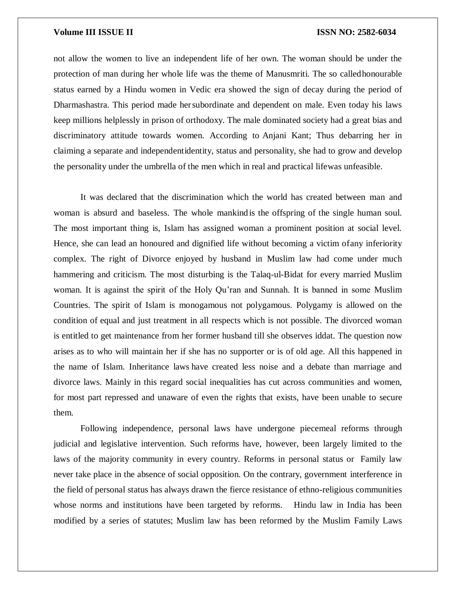not allow the women to live an independent life of her own. The woman should be under the protection of man during her whole life was the theme of Manusmriti. The so calledhonourable status earned by a Hindu women in Vedic era showed the sign of decay during the period of Dharmashastra. This period made hersubordinate and dependent on male. Even today his laws keep millions helplessly in prison of orthodoxy. The male dominated society had a great bias and discriminatory attitude towards women. According to Anjani Kant; Thus debarring her in claiming a separate and independentidentity, status and personality, she had to grow and develop the personality under the umbrella of the men which in real and practical lifewas unfeasible.

It was declared that the discrimination which the world has created between man and woman is absurd and baseless. The whole mankindis the offspring of the single human soul. The most important thing is, Islam has assigned woman a prominent position at social level. Hence, she can lead an honoured and dignified life without becoming a victim ofany inferiority complex. The right of Divorce enjoyed by husband in Muslim law had come under much hammering and criticism. The most disturbing is the Talaq-ul-Bidat for every married Muslim woman. It is against the spirit of the Holy Qu'ran and Sunnah. It is banned in some Muslim Countries. The spirit of Islam is monogamous not polygamous. Polygamy is allowed on the condition of equal and just treatment in all respects which is not possible. The divorced woman is entitled to get maintenance from her former husband till she observes iddat. The question now arises as to who will maintain her if she has no supporter or is of old age. All this happened in the name of Islam. Inheritance laws have created less noise and a debate than marriage and divorce laws. Mainly in this regard social inequalities has cut across communities and women, for most part repressed and unaware of even the rights that exists, have been unable to secure them.

Following independence, personal laws have undergone piecemeal reforms through judicial and legislative intervention. Such reforms have, however, been largely limited to the laws of the majority community in every country. Reforms in personal status or Family law never take place in the absence of social opposition. On the contrary, government interference in the field of personal status has always drawn the fierce resistance of ethno-religious communities whose norms and institutions have been targeted by reforms. Hindu law in India has been modified by a series of statutes; Muslim law has been reformed by the Muslim Family Laws